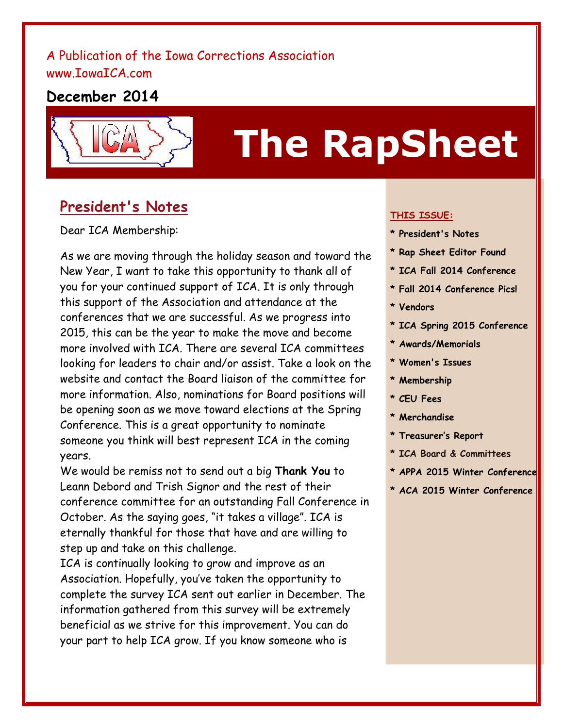## A Publication of the Iowa Corrections Association [www.IowaICA.com](http://www.iowaica.com/)

# **December 2014**



# **The RapSheet**

# **President's Notes**

Dear ICA Membership:

As we are moving through the holiday season and toward the New Year, I want to take this opportunity to thank all of you for your continued support of ICA. It is only through this support of the Association and attendance at the conferences that we are successful. As we progress into 2015, this can be the year to make the move and become more involved with ICA. There are several ICA committees looking for leaders to chair and/or assist. Take a look on the website and contact the Board liaison of the committee for more information. Also, nominations for Board positions will be opening soon as we move toward elections at the Spring Conference. This is a great opportunity to nominate someone you think will best represent ICA in the coming years.

We would be remiss not to send out a big **Thank You** to Leann Debord and Trish Signor and the rest of their conference committee for an outstanding Fall Conference in October. As the saying goes, "it takes a village". ICA is eternally thankful for those that have and are willing to step up and take on this challenge.

ICA is continually looking to grow and improve as an Association. Hopefully, you've taken the opportunity to complete the survey ICA sent out earlier in December. The information gathered from this survey will be extremely beneficial as we strive for this improvement. You can do your part to help ICA grow. If you know someone who is

#### **THIS ISSUE:**

- **\* President's Notes**
- **\* Rap Sheet Editor Found**
- **\* ICA Fall 2014 Conference**
- **\* Fall 2014 Conference Pics!**
- **\* Vendors**
- **\* ICA Spring 2015 Conference**
- **\* Awards/Memorials**
- **\* Women's Issues**
- **\* Membership**
- **\* CEU Fees**
- **\* Merchandise**
- **\* Treasurer's Report**
- **\* ICA Board & Committees**
- **\* APPA 2015 Winter Conference**
- **\* ACA 2015 Winter Conference**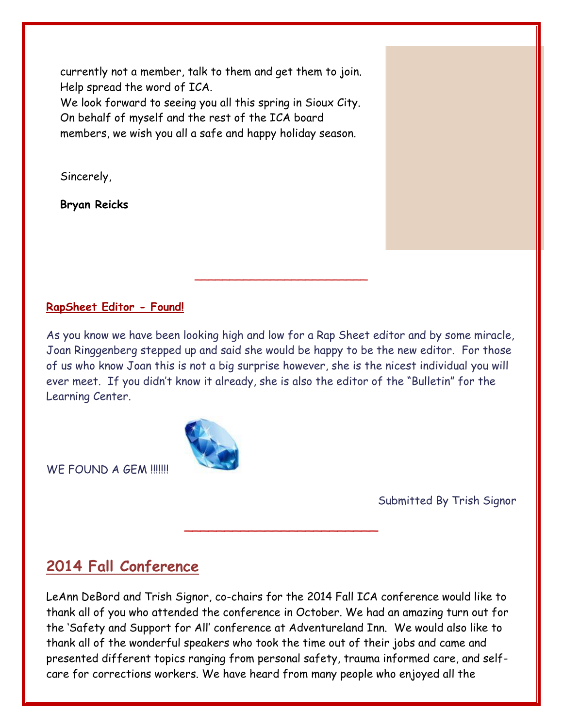currently not a member, talk to them and get them to join. Help spread the word of ICA.

We look forward to seeing you all this spring in Sioux City. On behalf of myself and the rest of the ICA board members, we wish you all a safe and happy holiday season.

Sincerely,

**Bryan Reicks**

#### **RapSheet Editor - Found!**

As you know we have been looking high and low for a Rap Sheet editor and by some miracle, Joan Ringgenberg stepped up and said she would be happy to be the new editor. For those of us who know Joan this is not a big surprise however, she is the nicest individual you will ever meet. If you didn't know it already, she is also the editor of the "Bulletin" for the Learning Center.

\_\_\_\_\_\_\_\_\_\_\_\_\_\_\_\_\_\_\_\_\_\_\_\_\_

WE FOUND A GEM !!!!!!!

Submitted By Trish Signor

# **2014 Fall Conference**

LeAnn DeBord and Trish Signor, co-chairs for the 2014 Fall ICA conference would like to thank all of you who attended the conference in October. We had an amazing turn out for the 'Safety and Support for All' conference at Adventureland Inn. We would also like to thank all of the wonderful speakers who took the time out of their jobs and came and presented different topics ranging from personal safety, trauma informed care, and selfcare for corrections workers. We have heard from many people who enjoyed all the

\_\_\_\_\_\_\_\_\_\_\_\_\_\_\_\_\_\_\_\_\_\_\_\_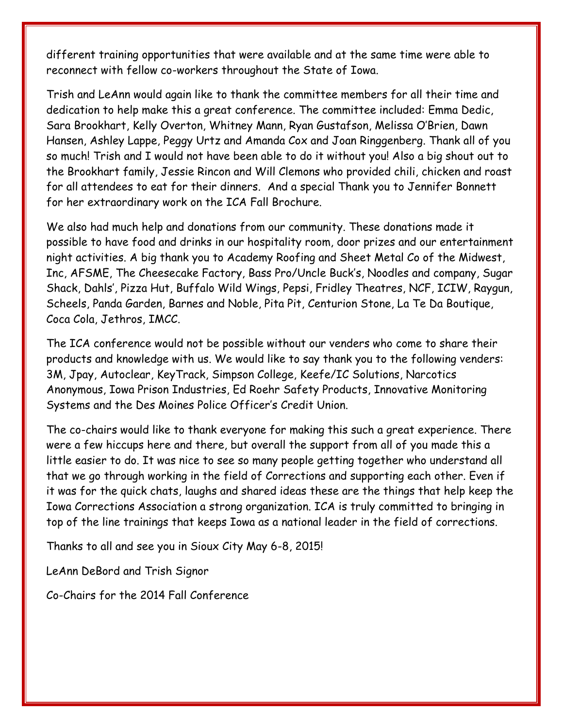different training opportunities that were available and at the same time were able to reconnect with fellow co-workers throughout the State of Iowa.

Trish and LeAnn would again like to thank the committee members for all their time and dedication to help make this a great conference. The committee included: Emma Dedic, Sara Brookhart, Kelly Overton, Whitney Mann, Ryan Gustafson, Melissa O'Brien, Dawn Hansen, Ashley Lappe, Peggy Urtz and Amanda Cox and Joan Ringgenberg. Thank all of you so much! Trish and I would not have been able to do it without you! Also a big shout out to the Brookhart family, Jessie Rincon and Will Clemons who provided chili, chicken and roast for all attendees to eat for their dinners. And a special Thank you to Jennifer Bonnett for her extraordinary work on the ICA Fall Brochure.

We also had much help and donations from our community. These donations made it possible to have food and drinks in our hospitality room, door prizes and our entertainment night activities. A big thank you to Academy Roofing and Sheet Metal Co of the Midwest, Inc, AFSME, The Cheesecake Factory, Bass Pro/Uncle Buck's, Noodles and company, Sugar Shack, Dahls', Pizza Hut, Buffalo Wild Wings, Pepsi, Fridley Theatres, NCF, ICIW, Raygun, Scheels, Panda Garden, Barnes and Noble, Pita Pit, Centurion Stone, La Te Da Boutique, Coca Cola, Jethros, IMCC.

The ICA conference would not be possible without our venders who come to share their products and knowledge with us. We would like to say thank you to the following venders: 3M, Jpay, Autoclear, KeyTrack, Simpson College, Keefe/IC Solutions, Narcotics Anonymous, Iowa Prison Industries, Ed Roehr Safety Products, Innovative Monitoring Systems and the Des Moines Police Officer's Credit Union.

The co-chairs would like to thank everyone for making this such a great experience. There were a few hiccups here and there, but overall the support from all of you made this a little easier to do. It was nice to see so many people getting together who understand all that we go through working in the field of Corrections and supporting each other. Even if it was for the quick chats, laughs and shared ideas these are the things that help keep the Iowa Corrections Association a strong organization. ICA is truly committed to bringing in top of the line trainings that keeps Iowa as a national leader in the field of corrections.

Thanks to all and see you in Sioux City May 6-8, 2015!

LeAnn DeBord and Trish Signor

Co-Chairs for the 2014 Fall Conference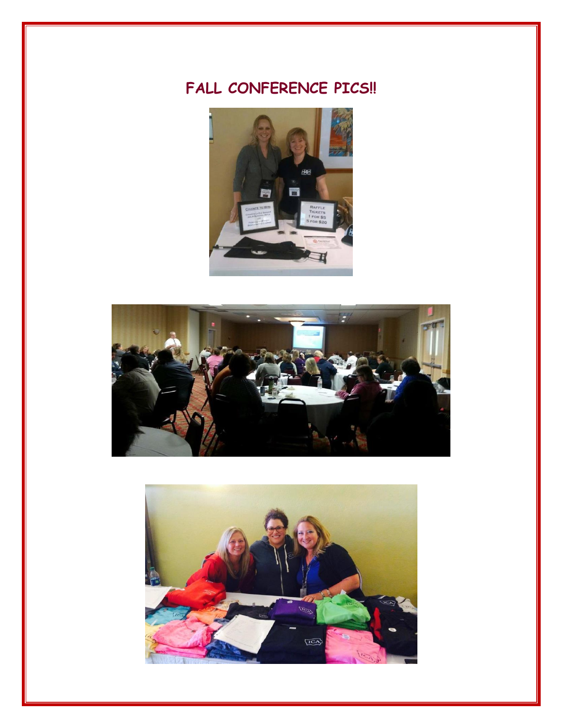# **FALL CONFERENCE PICS!!**





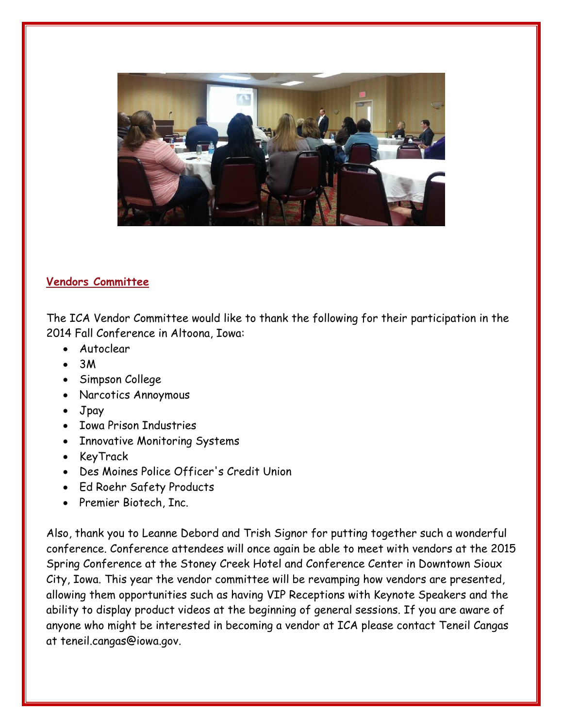

#### **Vendors Committee**

The ICA Vendor Committee would like to thank the following for their participation in the 2014 Fall Conference in Altoona, Iowa:

- Autoclear
- 3M
- Simpson College
- Narcotics Annoymous
- Jpay
- Iowa Prison Industries
- Innovative Monitoring Systems
- KeyTrack
- Des Moines Police Officer's Credit Union
- Ed Roehr Safety Products
- Premier Biotech, Inc.

Also, thank you to Leanne Debord and Trish Signor for putting together such a wonderful conference. Conference attendees will once again be able to meet with vendors at the 2015 Spring Conference at the Stoney Creek Hotel and Conference Center in Downtown Sioux City, Iowa. This year the vendor committee will be revamping how vendors are presented, allowing them opportunities such as having VIP Receptions with Keynote Speakers and the ability to display product videos at the beginning of general sessions. If you are aware of anyone who might be interested in becoming a vendor at ICA please contact Teneil Cangas at teneil.cangas@iowa.gov.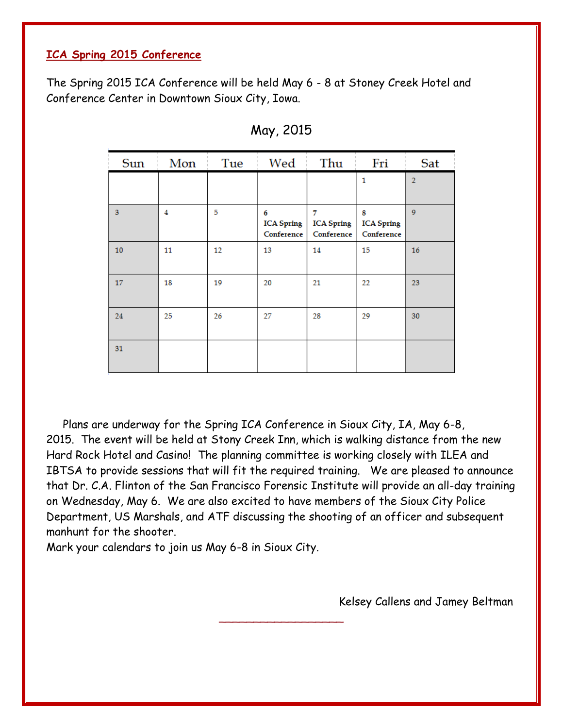#### **ICA Spring 2015 Conference**

The Spring 2015 ICA Conference will be held May 6 - 8 at Stoney Creek Hotel and Conference Center in Downtown Sioux City, Iowa.

| Sun | Mon | Tue | Wed                                  | Thu                                  | Fri                                  | Sat            |
|-----|-----|-----|--------------------------------------|--------------------------------------|--------------------------------------|----------------|
|     |     |     |                                      |                                      | 1                                    | $\overline{2}$ |
| 3   | 4   | 5   | 6<br><b>ICA Spring</b><br>Conference | 7<br><b>ICA Spring</b><br>Conference | 8<br><b>ICA Spring</b><br>Conference | 9              |
| 10  | 11  | 12  | 13                                   | 14                                   | 15                                   | 16             |
| 17  | 18  | 19  | 20                                   | 21                                   | 22                                   | 23             |
| 24  | 25  | 26  | 27                                   | 28                                   | 29                                   | 30             |
| 31  |     |     |                                      |                                      |                                      |                |

| May, 2015 |  |
|-----------|--|
|-----------|--|

 Plans are underway for the Spring ICA Conference in Sioux City, IA, May 6-8, 2015. The event will be held at Stony Creek Inn, which is walking distance from the new Hard Rock Hotel and Casino! The planning committee is working closely with ILEA and IBTSA to provide sessions that will fit the required training. We are pleased to announce that Dr. C.A. Flinton of the San Francisco Forensic Institute will provide an all-day training on Wednesday, May 6. We are also excited to have members of the Sioux City Police Department, US Marshals, and ATF discussing the shooting of an officer and subsequent manhunt for the shooter.

 $\overline{\phantom{a}}$  , and the set of the set of the set of the set of the set of the set of the set of the set of the set of the set of the set of the set of the set of the set of the set of the set of the set of the set of the s

Mark your calendars to join us May 6-8 in Sioux City.

Kelsey Callens and Jamey Beltman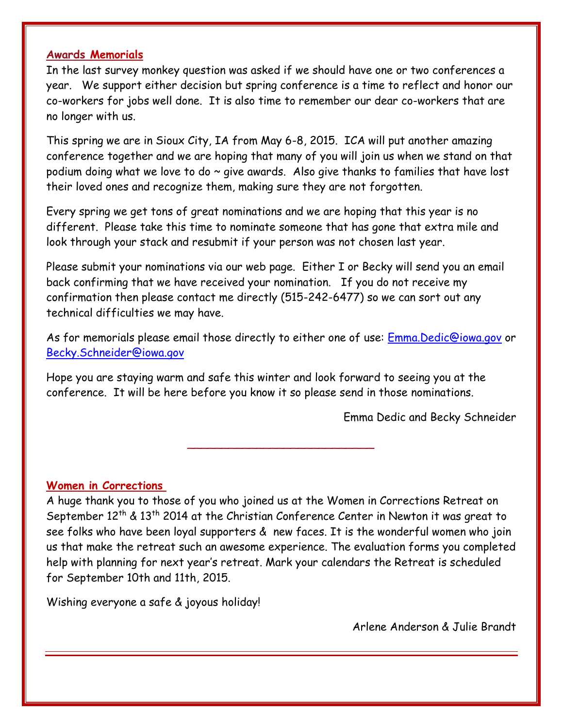#### **Awards Memorials**

In the last survey monkey question was asked if we should have one or two conferences a year. We support either decision but spring conference is a time to reflect and honor our co-workers for jobs well done. It is also time to remember our dear co-workers that are no longer with us.

This spring we are in Sioux City, IA from May 6-8, 2015. ICA will put another amazing conference together and we are hoping that many of you will join us when we stand on that podium doing what we love to do  $\sim$  give awards. Also give thanks to families that have lost their loved ones and recognize them, making sure they are not forgotten.

Every spring we get tons of great nominations and we are hoping that this year is no different. Please take this time to nominate someone that has gone that extra mile and look through your stack and resubmit if your person was not chosen last year.

Please submit your nominations via our web page. Either I or Becky will send you an email back confirming that we have received your nomination. If you do not receive my confirmation then please contact me directly (515-242-6477) so we can sort out any technical difficulties we may have.

As for memorials please email those directly to either one of use: [Emma.Dedic@iowa.gov](mailto:Emma.Dedic@iowa.gov) or [Becky.Schneider@iowa.gov](mailto:Becky.Schneider@iowa.gov)

Hope you are staying warm and safe this winter and look forward to seeing you at the conference. It will be here before you know it so please send in those nominations.

Emma Dedic and Becky Schneider

#### **Women in Corrections**

A huge thank you to those of you who joined us at the Women in Corrections Retreat on September  $12<sup>th</sup>$  &  $13<sup>th</sup>$  2014 at the Christian Conference Center in Newton it was great to see folks who have been loyal supporters & new faces. It is the wonderful women who join us that make the retreat such an awesome experience. The evaluation forms you completed help with planning for next year's retreat. Mark your calendars the Retreat is scheduled for September 10th and 11th, 2015.

\_\_\_\_\_\_\_\_\_\_\_\_\_\_\_\_\_\_\_\_\_\_\_\_\_\_\_

Wishing everyone a safe & joyous holiday!

Arlene Anderson & Julie Brandt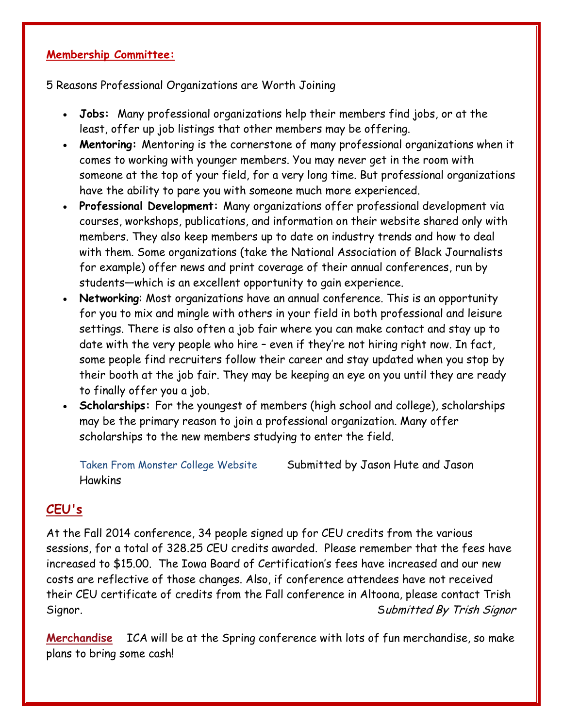#### **Membership Committee:**

5 Reasons Professional Organizations are Worth Joining

- **Jobs:** Many professional organizations help their members find jobs, or at the least, offer up job listings that other members may be offering.
- **Mentoring:** Mentoring is the cornerstone of many professional organizations when it comes to working with younger members. You may never get in the room with someone at the top of your field, for a very long time. But professional organizations have the ability to pare you with someone much more experienced.
- **Professional Development:** Many organizations offer professional development via courses, workshops, publications, and information on their website shared only with members. They also keep members up to date on industry trends and how to deal with them. Some organizations (take the National Association of Black Journalists for example) offer news and print coverage of their annual conferences, run by students—which is an excellent opportunity to gain experience.
- **Networking**: Most organizations have an annual conference. This is an opportunity for you to mix and mingle with others in your field in both professional and leisure settings. There is also often a job fair where you can make contact and stay up to date with the very people who hire – even if they're not hiring right now. In fact, some people find recruiters follow their career and stay updated when you stop by their booth at the job fair. They may be keeping an eye on you until they are ready to finally offer you a job.
- **Scholarships:** For the youngest of members (high school and college), scholarships may be the primary reason to join a professional organization. Many offer scholarships to the new members studying to enter the field.

Taken From Monster College Website Submitted by Jason Hute and Jason **Hawkins** 

## **CEU's**

At the Fall 2014 conference, 34 people signed up for CEU credits from the various sessions, for a total of 328.25 CEU credits awarded. Please remember that the fees have increased to \$15.00. The Iowa Board of Certification's fees have increased and our new costs are reflective of those changes. Also, if conference attendees have not received their CEU certificate of credits from the Fall conference in Altoona, please contact Trish Signor. Submitted By Trish Signor

**Merchandise** ICA will be at the Spring conference with lots of fun merchandise, so make plans to bring some cash!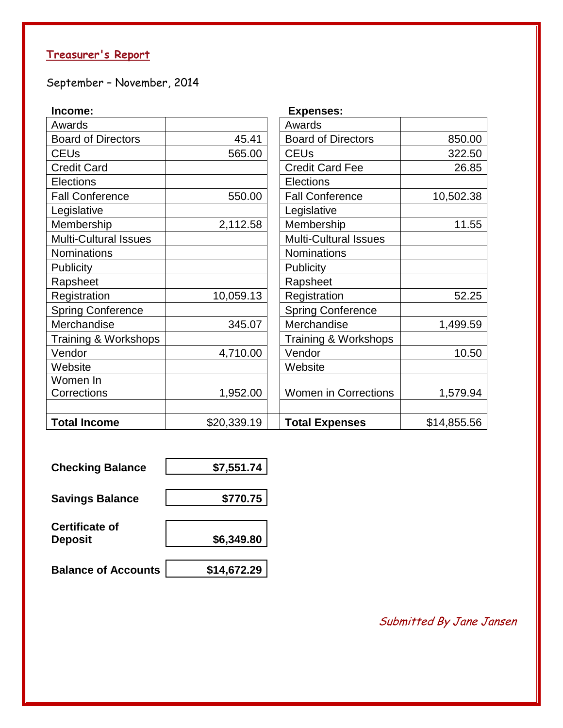# **Treasurer's Report**

September – November, 2014

| Income:                      |             | <b>Expenses:</b>             |             |
|------------------------------|-------------|------------------------------|-------------|
| Awards                       |             | Awards                       |             |
| <b>Board of Directors</b>    | 45.41       | <b>Board of Directors</b>    | 850.00      |
| <b>CEUs</b>                  | 565.00      | <b>CEUs</b>                  | 322.50      |
| <b>Credit Card</b>           |             | <b>Credit Card Fee</b>       | 26.85       |
| Elections                    |             | Elections                    |             |
| <b>Fall Conference</b>       | 550.00      | <b>Fall Conference</b>       | 10,502.38   |
| Legislative                  |             | Legislative                  |             |
| Membership                   | 2,112.58    | Membership                   | 11.55       |
| <b>Multi-Cultural Issues</b> |             | <b>Multi-Cultural Issues</b> |             |
| <b>Nominations</b>           |             | <b>Nominations</b>           |             |
| Publicity                    |             | Publicity                    |             |
| Rapsheet                     |             | Rapsheet                     |             |
| Registration                 | 10,059.13   | Registration                 | 52.25       |
| <b>Spring Conference</b>     |             | <b>Spring Conference</b>     |             |
| Merchandise                  | 345.07      | Merchandise                  | 1,499.59    |
| Training & Workshops         |             | Training & Workshops         |             |
| Vendor                       | 4,710.00    | Vendor                       | 10.50       |
| Website                      |             | Website                      |             |
| Women In                     |             |                              |             |
| <b>Corrections</b>           | 1,952.00    | <b>Women in Corrections</b>  | 1,579.94    |
|                              |             |                              |             |
| <b>Total Income</b>          | \$20,339.19 | <b>Total Expenses</b>        | \$14,855.56 |

| <b>Checking Balance</b>                 | \$7,551.74  |
|-----------------------------------------|-------------|
| <b>Savings Balance</b>                  | \$770.75    |
| <b>Certificate of</b><br><b>Deposit</b> | \$6,349.80  |
| <b>Balance of Accounts</b>              | \$14,672.29 |

Submitted By Jane Jansen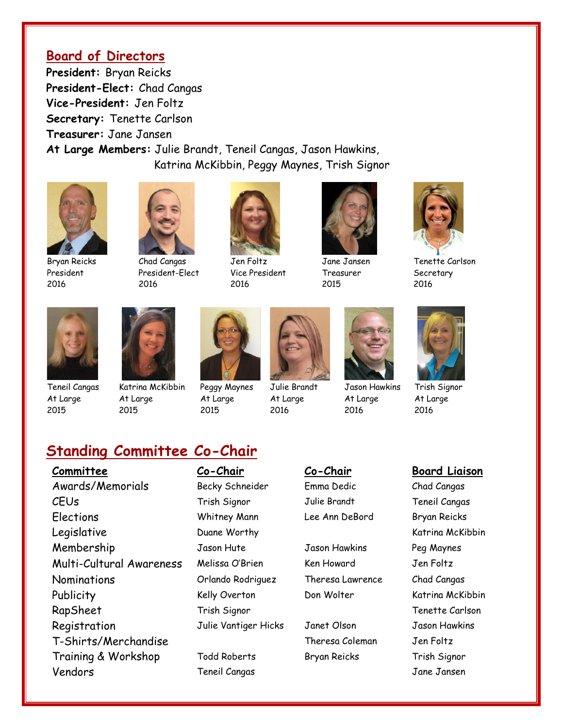#### **Board of Directors**

**President:** Bryan Reicks **President-Elect:** Chad Cangas **Vice-President:** Jen Foltz **Secretary:** Tenette Carlson **Treasurer:** Jane Jansen **At Large Members:** Julie Brandt, Teneil Cangas, Jason Hawkins, Katrina McKibbin, Peggy Maynes, Trish Signor



President 2016



Chad Cangas President-Elect 2016



Jen Foltz Vice President 2016



Jane Jansen Treasurer 2015



Tenette Carlson **Secretary** 2016



Teneil Cangas At Large 2015



Katrina McKibbin At Large 2015



Peggy Maynes At Large 2015



Julie Brandt At Large 2016



Jason Hawkins At Large 2016



Trish Signor At Large 2016

# **Standing Committee Co-Chair**

**Committee Co-Chair Co-Chair Co-Chair Board Liaison** Awards/Memorials Becky Schneider Emma Dedic Chad Cangas CEUs Trish Signor Julie Brandt Teneil Cangas Elections Whitney Mann Lee Ann DeBord Bryan Reicks Legislative **Community** Duane Worthy **Community** Charles and Katrina McKibbin Membership Jason Hute Jason Hawkins Peg Maynes Multi-Cultural Awareness Melissa O'Brien Ken Howard Jen Foltz Nominations Orlando Rodriguez Theresa Lawrence Chad Cangas Publicity Kelly Overton Don Wolter Katrina McKibbin RapSheet Trish Signor Trish Signor Tenette Carlson Registration Tulie Vantiger Hicks Janet Olson Jason Hawkins T-Shirts/Merchandise Theresa Coleman Jen Foltz Training & Workshop Todd Roberts Bryan Reicks Trish Signor Vendors Teneil Cangas Jane Jansen